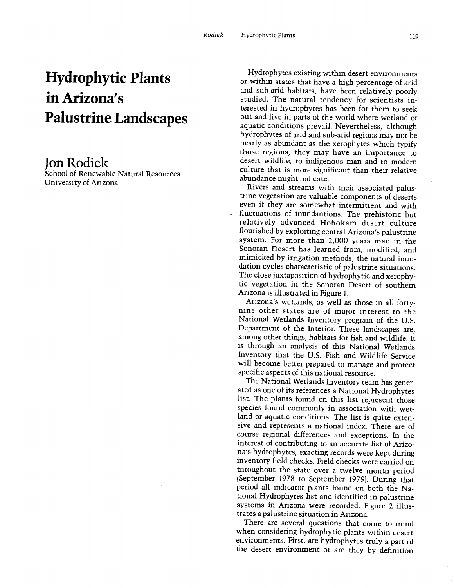# Hydrophytic Plants in Arizona's Palustrine Landscapes

## Jon Rodiek

School of Renewable Natural Resources University of Arizona

Hydrophytes existing within desert environments or within states that have a high percentage of arid and sub-arid habitats, have been relatively poorly studied. The natural tendency for scientists interested in hydrophytes has been for them to seek out and live in parts of the world where wetland or aquatic conditions prevail. Nevertheless, although hydrophytes of arid and sub -arid regions may not be nearly as abundant as the xerophytes which typify those regions, they may have an importance to desert wildlife, to indigenous man and to modern culture that is more significant than their relative abundance might indicate.

Rivers and streams with their associated palustrine vegetation are valuable components of deserts even if they are somewhat intermittent and with fluctuations of inundantions. The prehistoric but relatively advanced Hohokam desert culture flourished by exploiting central Arizona's palustrine system. For more than 2,000 years man in the Sonoran Desert has learned from, modified, and mimicked by irrigation methods, the natural inundation cycles characteristic of palustrine situations. The close juxtaposition of hydrophytic and xerophytic vegetation in the Sonoran Desert of southern

Arizona is illustrated in Figure 1. nine other states are of major interest to the National Wetlands Inventory program of the U.S. Department of the Interior. These landscapes are, among other things, habitats for fish and wildlife. It is through an analysis of this National Wetlands Inventory that the U.S. Fish and Wildlife Service will become better prepared to manage and protect specific aspects of this national resource.

The National Wetlands Inventory team has generated as one of its references a National Hydrophytes list. The plants found on this list represent those species found commonly in association with wetland or aquatic conditions. The list is quite extensive and represents a national index. There are of course regional differences and exceptions. In the interest of contributing to an accurate list of Arizona's hydrophytes, exacting records were kept during inventory field checks. Field checks were carried on throughout the state over a twelve month period (September 1978 to September 1979). During that period all indicator plants found on both the National Hydrophytes list and identified in palustrine systems in Arizona were recorded. Figure 2 illustrates a palustrine situation in Arizona.

There are several questions that come to mind when considering hydrophytic plants within desert environments. First, are hydrophytes truly a part of the desert environment or are they by definition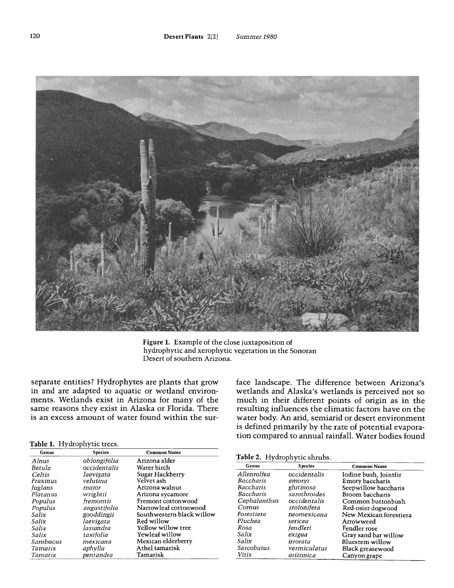

Figure 1. Example of the close juxtaposition of hydrophytic and xerophytic vegetation in the Sonoran Desert of southern Arizona.

separate entities? Hydrophytes are plants that grow in and are adapted to aquatic or wetland environments. Wetlands exist in Arizona for many of the same reasons they exist in Alaska or Florida. There is an excess amount of water found within the sur-

#### Table 1. Hydrophytic trees.

| Genus    | Species      | Common Name               |              |                              |                        |
|----------|--------------|---------------------------|--------------|------------------------------|------------------------|
| Alnus    | oblongifolia | Arizona alder             |              | Table 2. Hydrophytic shrubs. |                        |
| Betula   | occidentalis | Water birch               | Genus        | <b>Species</b>               | <b>Common Name</b>     |
| Celtis   | laevigata    | Sugar Hackberry           | Allenrolfea  | occidentalis                 | Iodine bush, Jointfir  |
| Fraxinus | velutina     | Velvet ash                | Baccharis    | emoryi                       | Emory baccharis        |
| Juglans  | major        | Arizona walnut            | Baccharis    | glutinosa                    | Seepwillow baccharis   |
| Platanus | wrightii     | Arizona sycamore          | Baccharis    | sarothroides                 | Broom baccharis        |
| Populus  | fremontii    | Fremont cottonwood        | Cephalanthus | occidentalis                 | Common buttonbush      |
| Populus  | angustifolia | Narrowleaf cottonwood     | Cornus       | stolonifera                  | Red-osier dogwood      |
| Salix    | gooddingii   | Southwestern black willow | Forestiera   | neomexicana                  | New Mexican forestiera |
| Salix    | laevigata    | Red willow                | Pluchea      | sericea                      | Arrowweed              |
| Salix    | lasiandra    | Yellow willow tree        | Rosa         | fendleri                     | Fendler rose           |
| Salix    | taxifolia    | Yewleaf willow            | Salix        | exigua                       | Gray sand bar willow   |
| Sambucus | mexicana     | Mexican elderberry        | Salix        | irrorata                     | Bluestem willow        |
| Tamarix  | aphylla      | Athel tamarisk            | Sarcobatus   | vermiculatus                 | Black greasewood       |
| Tamarix  | pentandra    | Tamarisk                  | Vitis        | arizonica                    | Canvon grape           |

face landscape. The difference between Arizona's wetlands and Alaska's wetlands is perceived not so much in their different points of origin as in the resulting influences the climatic factors have on the water body. An arid, semiarid or desert environment is defined primarily by the rate of potential evaporation compared to annual rainfall. Water bodies found

### Table 2. Hydrophytic shrubs.

| Alnus    | opiongifolia | Arizona alder             |              |                |                        |
|----------|--------------|---------------------------|--------------|----------------|------------------------|
| Betula   | occidentalis | Water birch               | Genus        | <b>Species</b> | <b>Common Name</b>     |
| Celtis   | laevigata    | Sugar Hackberry           | Allenrolfea  | occidentalis   | Iodine bush, Jointfir  |
| Fraxinus | velutina     | Velvet ash                | Baccharis    | emoryi         | Emory baccharis        |
| Juglans  | major        | Arizona walnut            | Baccharis    | glutinosa      | Seepwillow baccharis   |
| Platanus | wrightii     | Arizona sycamore          | Baccharis    | sarothroides   | Broom baccharis        |
| Populus  | fremontii    | Fremont cottonwood        | Cephalanthus | occidentalis   | Common buttonbush      |
| Populus  | angustifolia | Narrowleaf cottonwood     | Cornus       | stolonifera    | Red-osier dogwood      |
| Salix    | gooddingii   | Southwestern black willow | Forestiera   | neomexicana    | New Mexican forestiera |
| Salix    | laevigata    | Red willow                | Pluchea      | sericea        | Arrowweed              |
| Salix    | lasiandra    | Yellow willow tree        | Rosa         | fendleri       | Fendler rose           |
| Salix    | taxifolia    | Yewleaf willow            | Salix        | exigua         | Gray sand bar willow   |
| Sambucus | mexicana     | Mexican elderberry        | Salix        | irrorata       | Bluestem willow        |
| Tamarix  | aphylla      | Athel tamarisk            | Sarcobatus   | vermiculatus   | Black greasewood       |
| Tamarix  | pentandra    | Tamarisk                  | Vitis        | arizonica      | Canyon grape           |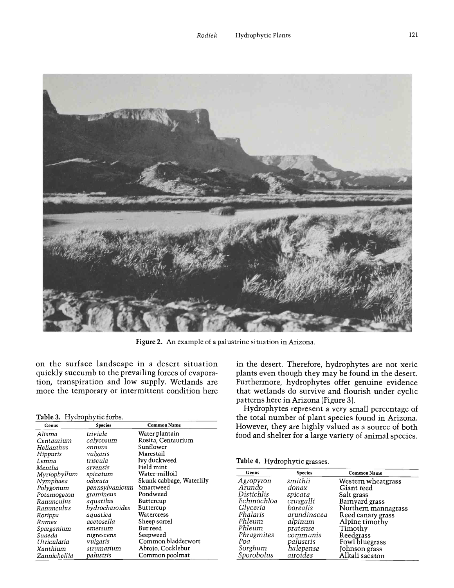

Figure 2. An example of a palustrine situation in Arizona.

on the surface landscape in a desert situation quickly succumb to the prevailing forces of evaporation, transpiration and low supply. Wetlands are more the temporary or intermittent condition here

#### Table 3. Hydrophytic forbs.

| Genus        | <b>Species</b> | <b>Common Name</b>       | Н              |
|--------------|----------------|--------------------------|----------------|
| Alisma       | triviale       | Water plantain           | fo             |
| Centaurium   | calvcosum      | Rosita, Centaurium       |                |
| Helianthus   | annuus         | Sunflower                |                |
| Hippuris     | vulgaris       | Marestail                |                |
| Lemna        | triscula       | Ivy duckweed             | T:             |
| Mentha       | arvensis       | Field mint               |                |
| Myriophyllum | spicatum       | Water-milfoil            |                |
| Nymphaea     | odorata        | Skunk cabbage, Waterlily | A              |
| Polygonum    | pennsylvanicum | Smartweed                | F.             |
| Potamogeton  | gramineus      | Pondweed                 | L              |
| Ranunculus   | aquatilus      | Buttercup                | E              |
| Ranunculus   | hydrocharoides | Buttercup                | Ć              |
| Rorippa      | aquatica       | Watercress               | F              |
| Rumex        | acetosella     | Sheep sorrel             | $\overline{F}$ |
| Sparganium   | emersum        | Bur reed                 | P              |
| Suaeda       | nigrescens     | Seepweed                 |                |
| Utricularia  | vulgaris       | Common bladderwort       | F              |
| Xanthium     | strumarium     | Abrojo, Cocklebur        | S              |
| Zannichellia | palustris      | Common poolmat           |                |

in the desert. Therefore, hydrophytes are not xeric plants even though they may be found in the desert. Furthermore, hydrophytes offer genuine evidence that wetlands do survive and flourish under cyclic patterns here in Arizona (Figure 3).

Hydrophytes represent a very small percentage of the total number of plant species found in Arizona. However, they are highly valued as a source of both food and shelter for a large variety of animal species.

|  | Table 4. Hydrophytic grasses. |  |
|--|-------------------------------|--|
|--|-------------------------------|--|

| Genus       | <b>Species</b> | <b>Common Name</b>    |
|-------------|----------------|-----------------------|
| Agropyron   | smithii        | Western wheatgrass    |
| Arundo      | donax          | Giant reed            |
| Distichlis  | spicata        | Salt grass            |
| Echinochloa | crusgalli      | Barnyard grass        |
| Glyceria    | borealis       | Northern mannagrass   |
| Phalaris    | arundinacea    | Reed canary grass     |
| Phleum      | alpinum        | Alpine timothy        |
| Phleum      | pratense       | Timothy               |
| Phragmites  | communis       | Reedgrass             |
| Poa         | palustris      | <b>Fowl bluegrass</b> |
| Sorghum     | halepense      | Johnson grass         |
| Sporobolus  | airoides       | Alkali sacaton        |